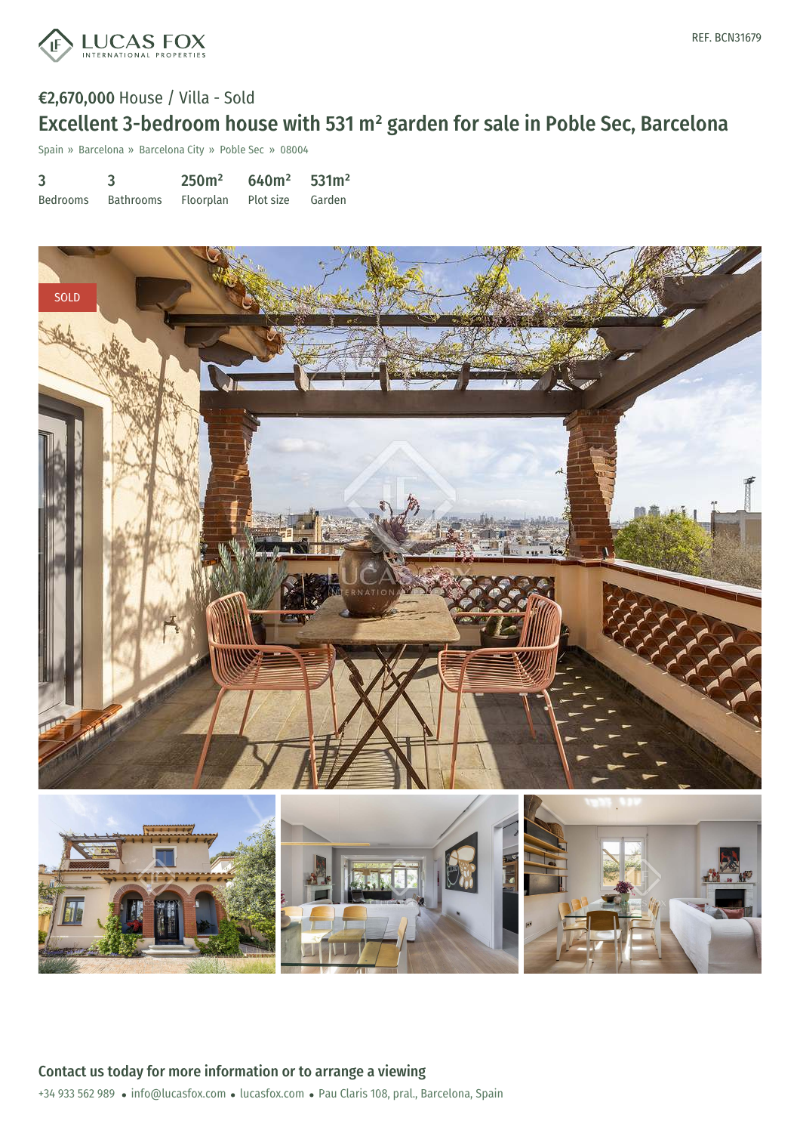

### €2,670,000 House / Villa - Sold

# Excellent 3-bedroom house with 531 m² garden for sale in Poble Sec, Barcelona

Spain » Barcelona » Barcelona City » Poble Sec » 08004

| 3        |                                      | 250m <sup>2</sup> | $640m^2$ 531m <sup>2</sup> |  |
|----------|--------------------------------------|-------------------|----------------------------|--|
| Bedrooms | Bathrooms Floorplan Plot size Garden |                   |                            |  |

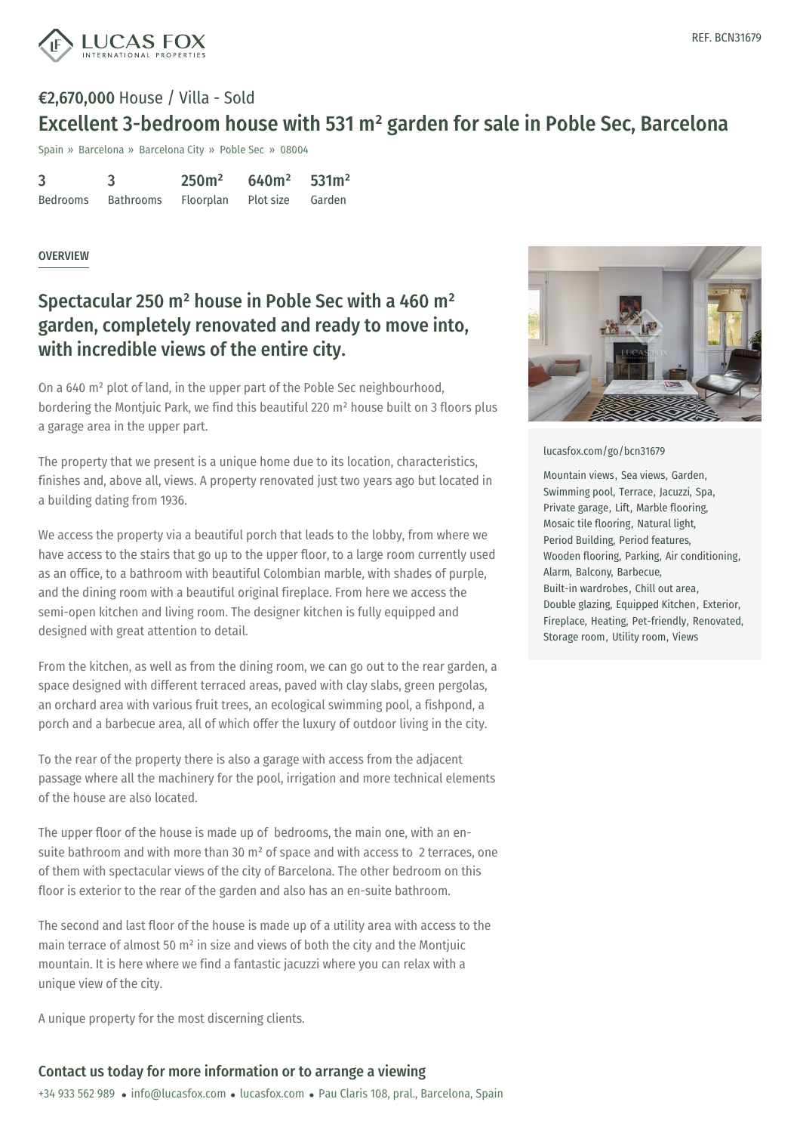

## €2,670,000 House / Villa - Sold Excellent 3-bedroom house with 531 m² garden for sale in Poble Sec, Barcelona

Spain » Barcelona » Barcelona City » Poble Sec » 08004

| 3        |           | 250m <sup>2</sup> | $640m^2$ 531m <sup>2</sup> |  |
|----------|-----------|-------------------|----------------------------|--|
| Bedrooms | Bathrooms | Floorplan         | Plot size Garden           |  |

#### **OVERVIEW**

### Spectacular 250 m² house in Poble Sec with a 460 m² garden, completely renovated and ready to move into, with incredible views of the entire city.

On a 640 m² plot of land, in the upper part of the Poble Sec neighbourhood, bordering the Montjuic Park, we find this beautiful 220 m² house built on 3 floors plus a garage area in the upper part.

The property that we present is a unique home due to its location, characteristics, finishes and, above all, views. A property renovated just two years ago but located in a building dating from 1936.

We access the property via a beautiful porch that leads to the lobby, from where we have access to the stairs that go up to the upper floor, to a large room currently used as an office, to a bathroom with beautiful Colombian marble, with shades of purple, and the dining room with a beautiful original fireplace. From here we access the semi-open kitchen and living room. The designer kitchen is fully equipped and designed with great attention to detail.

From the kitchen, as well as from the dining room, we can go out to the rear garden, a space designed with different terraced areas, paved with clay slabs, green pergolas, an orchard area with various fruit trees, an ecological swimming pool, a fishpond, a porch and a barbecue area, all of which offer the luxury of outdoor living in the city.

To the rear of the property there is also a garage with access from the adjacent passage where all the machinery for the pool, irrigation and more technical elements of the house are also located.

The upper floor of the house is made up of bedrooms, the main one, with an ensuite bathroom and with [more](mailto:info@lucasfox.com) than 30 m² of [spac](https://www.lucasfox.com)e and with access to 2 terraces, one of them with spectacular views of the city of Barcelona. The other bedroom on this floor is exterior to the rear of the garden and also has an en-suite bathroom.

The second and last floor of the house is made up of a utility area with access to the main terrace of almost 50 m² in size and views of both the city and the Montjuic mountain. It is here where we find a fantastic jacuzzi where you can relax with a unique view of the city.

A unique property for the most discerning clients.

### Contact us today for more information or to arrange a viewing

+34 933 562 989 · info@lucasfox.com · lucasfox.com · Pau Claris 108, pral., Barcelona, Spain



[lucasfox.com/go/bcn31679](https://www.lucasfox.com/go/bcn31679)

Mountain views, Sea views, Garden, Swimming pool, Terrace, Jacuzzi, Spa, Private garage, Lift, Marble flooring, Mosaic tile flooring, Natural light, Period Building, Period features, Wooden flooring, Parking, Air conditioning, Alarm, Balcony, Barbecue, Built-in wardrobes, Chill out area, Double glazing, Equipped Kitchen, Exterior, Fireplace, Heating, Pet-friendly, Renovated, Storage room, Utility room, Views